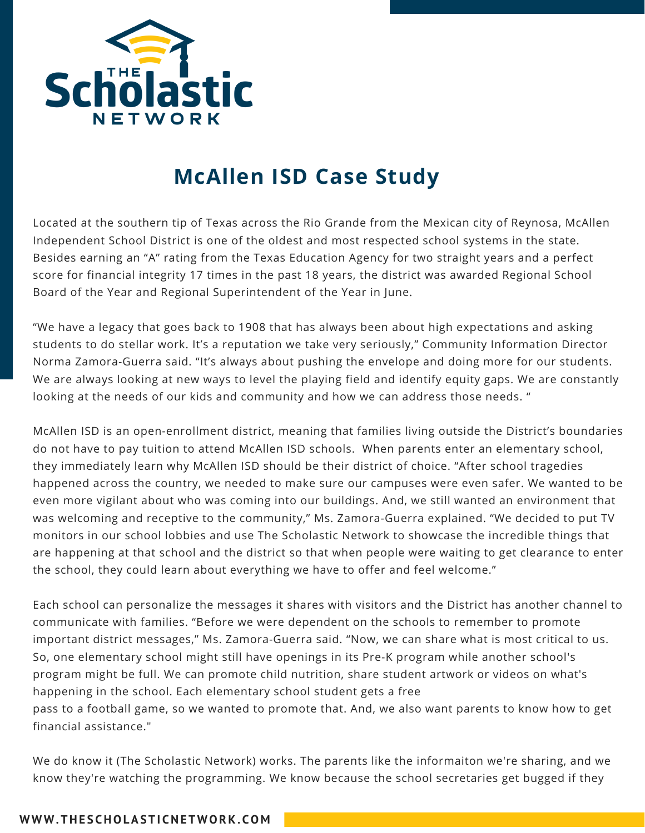

## **McAllen ISD Case Study**

Located at the southern tip of Texas across the Rio Grande from the Mexican city of Reynosa, McAllen Independent School District is one of the oldest and most respected school systems in the state. Besides earning an "A" rating from the Texas Education Agency for two straight years and a perfect score for financial integrity 17 times in the past 18 years, the district was awarded Regional School Board of the Year and Regional Superintendent of the Year in June.

"We have a legacy that goes back to 1908 that has always been about high expectations and asking students to do stellar work. It's a reputation we take very seriously," Community Information Director Norma Zamora-Guerra said. "It's always about pushing the envelope and doing more for our students. We are always looking at new ways to level the playing field and identify equity gaps. We are constantly looking at the needs of our kids and community and how we can address those needs. "

McAllen ISD is an open-enrollment district, meaning that families living outside the District's boundaries do not have to pay tuition to attend McAllen ISD schools. When parents enter an elementary school, they immediately learn why McAllen ISD should be their district of choice. "After school tragedies happened across the country, we needed to make sure our campuses were even safer. We wanted to be even more vigilant about who was coming into our buildings. And, we still wanted an environment that was welcoming and receptive to the community," Ms. Zamora-Guerra explained. "We decided to put TV monitors in our school lobbies and use The Scholastic Network to showcase the incredible things that are happening at that school and the district so that when people were waiting to get clearance to enter the school, they could learn about everything we have to offer and feel welcome."

Each school can personalize the messages it shares with visitors and the District has another channel to communicate with families. "Before we were dependent on the schools to remember to promote important district messages," Ms. Zamora-Guerra said. "Now, we can share what is most critical to us. So, one elementary school might still have openings in its Pre-K program while another school's program might be full. We can promote child nutrition, share student artwork or videos on what's happening in the school. Each elementary school student gets a free pass to a football game, so we wanted to promote that. And, we also want parents to know how to get

financial assistance."

We do know it (The Scholastic Network) works. The parents like the informaiton we're sharing, and we know they're watching the programming. We know because the school secretaries get bugged if they